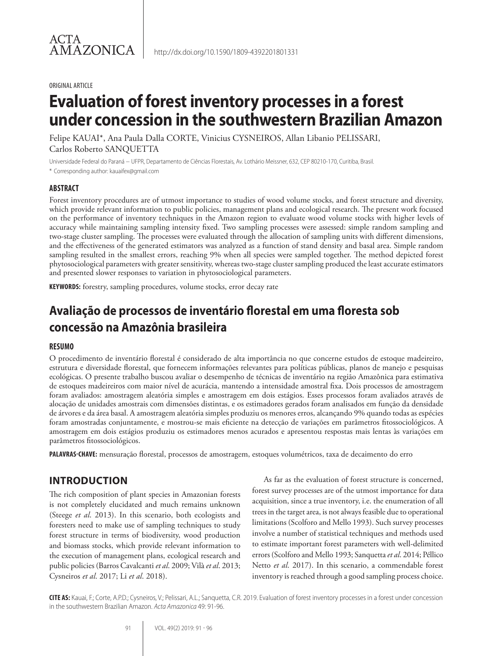#### ORIGINAL ARTICLE

# **Evaluation of forest inventory processes in a forest under concession in the southwestern Brazilian Amazon**

Felipe KAUAI\*, Ana Paula Dalla CORTE, Vinicius CYSNEIROS, Allan Libanio PELISSARI, Carlos Roberto SANQUETTA

Universidade Federal do Paraná − UFPR, Departamento de Ciências Florestais, Av. Lothário Meissner, 632, CEP 80210-170, Curitiba, Brasil. \* Corresponding author: kauaifex@gmail.com

#### **ABSTRACT**

Forest inventory procedures are of utmost importance to studies of wood volume stocks, and forest structure and diversity, which provide relevant information to public policies, management plans and ecological research. The present work focused on the performance of inventory techniques in the Amazon region to evaluate wood volume stocks with higher levels of accuracy while maintaining sampling intensity fixed. Two sampling processes were assessed: simple random sampling and two-stage cluster sampling. The processes were evaluated through the allocation of sampling units with different dimensions, and the effectiveness of the generated estimators was analyzed as a function of stand density and basal area. Simple random sampling resulted in the smallest errors, reaching 9% when all species were sampled together. The method depicted forest phytosociological parameters with greater sensitivity, whereas two-stage cluster sampling produced the least accurate estimators and presented slower responses to variation in phytosociological parameters.

**KEYWORDS:** forestry, sampling procedures, volume stocks, error decay rate

## **Avaliação de processos de inventário florestal em uma floresta sob concessão na Amazônia brasileira**

#### **RESUMO**

O procedimento de inventário florestal é considerado de alta importância no que concerne estudos de estoque madeireiro, estrutura e diversidade florestal, que fornecem informações relevantes para políticas públicas, planos de manejo e pesquisas ecológicas. O presente trabalho buscou avaliar o desempenho de técnicas de inventário na região Amazônica para estimativa de estoques madeireiros com maior nível de acurácia, mantendo a intensidade amostral fixa. Dois processos de amostragem foram avaliados: amostragem aleatória simples e amostragem em dois estágios. Esses processos foram avaliados através de alocação de unidades amostrais com dimensões distintas, e os estimadores gerados foram analisados em função da densidade de árvores e da área basal. A amostragem aleatória simples produziu os menores erros, alcançando 9% quando todas as espécies foram amostradas conjuntamente, e mostrou-se mais eficiente na detecção de variações em parâmetros fitossociológicos. A amostragem em dois estágios produziu os estimadores menos acurados e apresentou respostas mais lentas às variações em parâmetros fitossociológicos.

**PALAVRAS-CHAVE:** mensuração florestal, processos de amostragem, estoques volumétricos, taxa de decaimento do erro

## **INTRODUCTION**

The rich composition of plant species in Amazonian forests is not completely elucidated and much remains unknown (Steege *et al*. 2013). In this scenario, both ecologists and foresters need to make use of sampling techniques to study forest structure in terms of biodiversity, wood production and biomass stocks, which provide relevant information to the execution of management plans, ecological research and public policies (Barros Cavalcanti *et al*. 2009; Vilà *et al*. 2013; Cysneiros *et al*. 2017; Li *et al*. 2018).

As far as the evaluation of forest structure is concerned, forest survey processes are of the utmost importance for data acquisition, since a true inventory, i.e. the enumeration of all trees in the target area, is not always feasible due to operational limitations (Scolforo and Mello 1993). Such survey processes involve a number of statistical techniques and methods used to estimate important forest parameters with well-delimited errors (Scolforo and Mello 1993; Sanquetta *et al*. 2014; Péllico Netto *et al*. 2017). In this scenario, a commendable forest inventory is reached through a good sampling process choice.

**CITE AS:** Kauai, F.; Corte, A.P.D.; Cysneiros, V.; Pelissari, A.L.; Sanquetta, C.R. 2019. Evaluation of forest inventory processes in a forest under concession in the southwestern Brazilian Amazon. *Acta Amazonica* 49: 91-96.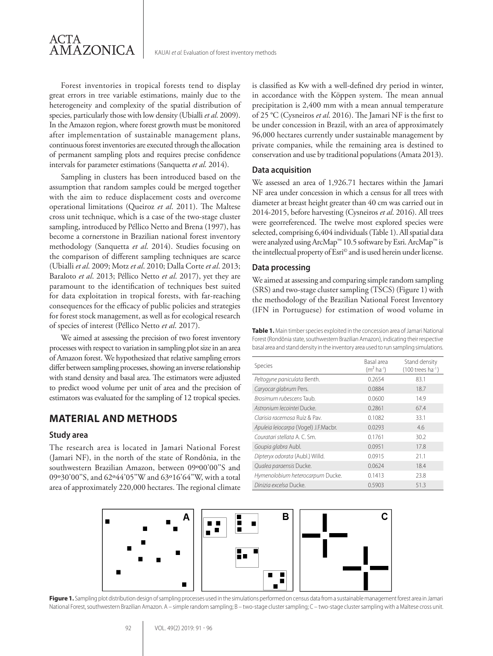Forest inventories in tropical forests tend to display great errors in tree variable estimations, mainly due to the heterogeneity and complexity of the spatial distribution of species, particularly those with low density (Ubialli *et al*. 2009). In the Amazon region, where forest growth must be monitored after implementation of sustainable management plans, continuous forest inventories are executed through the allocation of permanent sampling plots and requires precise confidence intervals for parameter estimations (Sanquetta *et al*. 2014).

Sampling in clusters has been introduced based on the assumption that random samples could be merged together with the aim to reduce displacement costs and overcome operational limitations (Queiroz *et al*. 2011). The Maltese cross unit technique, which is a case of the two-stage cluster sampling, introduced by Péllico Netto and Brena (1997), has become a cornerstone in Brazilian national forest inventory methodology (Sanquetta *et al*. 2014). Studies focusing on the comparison of different sampling techniques are scarce (Ubialli *et al*. 2009; Motz *et al*. 2010; Dalla Corte *et al*. 2013; Baraloto *et al*. 2013; Péllico Netto *et al*. 2017), yet they are paramount to the identification of techniques best suited for data exploitation in tropical forests, with far-reaching consequences for the efficacy of public policies and strategies for forest stock management, as well as for ecological research of species of interest (Péllico Netto *et al*. 2017).

We aimed at assessing the precision of two forest inventory processes with respect to variation in sampling plot size in an area of Amazon forest. We hypothesized that relative sampling errors differ between sampling processes, showing an inverse relationship with stand density and basal area. The estimators were adjusted to predict wood volume per unit of area and the precision of estimators was evaluated for the sampling of 12 tropical species.

## **MATERIAL AND METHODS**

#### **Study area**

The research area is located in Jamari National Forest (Jamari NF), in the north of the state of Rondônia, in the southwestern Brazilian Amazon, between 09°00'00"S and 09º30'00''S, and 62º44'05''W and 63º16'64''W, with a total area of approximately 220,000 hectares. The regional climate is classified as Kw with a well-defined dry period in winter, in accordance with the Köppen system. The mean annual precipitation is 2,400 mm with a mean annual temperature of 25 °C (Cysneiros *et al*. 2016). The Jamari NF is the first to be under concession in Brazil, with an area of approximately 96,000 hectares currently under sustainable management by private companies, while the remaining area is destined to conservation and use by traditional populations (Amata 2013).

#### **Data acquisition**

We assessed an area of 1,926.71 hectares within the Jamari NF area under concession in which a census for all trees with diameter at breast height greater than 40 cm was carried out in 2014-2015, before harvesting (Cysneiros *et al*. 2016). All trees were georreferenced. The twelve most explored species were selected, comprising 6,404 individuals (Table 1). All spatial data were analyzed using ArcMap™ 10.5 software by Esri. ArcMap™ is the intellectual property of Esri© and is used herein under license.

#### **Data processing**

We aimed at assessing and comparing simple random sampling (SRS) and two-stage cluster sampling (TSCS) (Figure 1) with the methodology of the Brazilian National Forest Inventory (IFN in Portuguese) for estimation of wood volume in

**Table 1.** Main timber species exploited in the concession area of Jamari National Forest (Rondônia state, southwestern Brazilian Amazon), indicating their respective basal area and stand density in the inventory area used to run sampling simulations.

| <b>Species</b>                       | Basal area<br>$(m2 ha-1)$ | Stand density<br>$(100$ trees ha <sup>-1</sup> ) |
|--------------------------------------|---------------------------|--------------------------------------------------|
| Peltogyne paniculata Benth.          | 0.2654                    | 83.1                                             |
| Caryocar glabrum Pers.               | 0.0884                    | 18.7                                             |
| <i>Brosimum rubescens</i> Taub.      | 0.0600                    | 14.9                                             |
| Astronium lecointei Ducke.           | 0.2861                    | 67.4                                             |
| Clarisia racemosa Ruíz & Pay.        | 0.1082                    | 33.1                                             |
| Apuleia leiocarpa (Vogel) J.F.Macbr. | 0.0293                    | 4.6                                              |
| Couratari stellata A. C. Sm.         | 0.1761                    | 30.2                                             |
| Goupia glabra Aubl.                  | 0.0951                    | 17.8                                             |
| Dipteryx odorata (Aubl.) Willd.      | 0.0915                    | 21.1                                             |
| Qualea paraensis Ducke.              | 0.0624                    | 18.4                                             |
| Hymenolobium heterocarpum Ducke.     | 0.1413                    | 23.8                                             |
| Dinizia excelsa Ducke.               | 0.5903                    | 51.3                                             |



Figure 1. Sampling plot distribution design of sampling processes used in the simulations performed on census data from a sustainable management forest area in Jamari National Forest, southwestern Brazilian Amazon. A – simple random sampling; B – two-stage cluster sampling with a Maltese cross unit.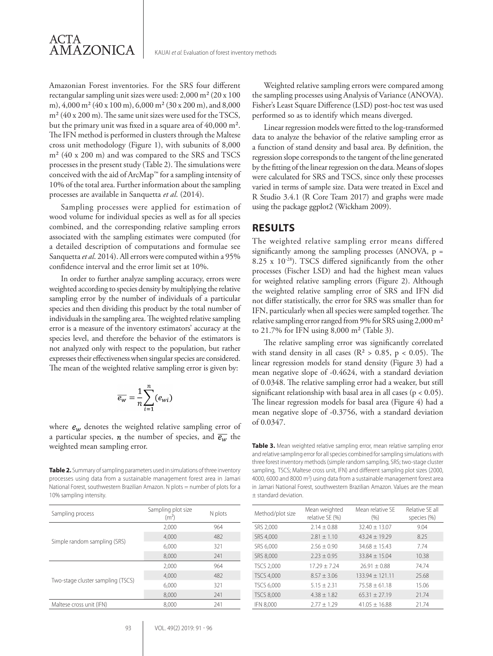

Amazonian Forest inventories. For the SRS four different rectangular sampling unit sizes were used: 2,000 m² (20 x 100 m), 4,000 m² (40 x 100 m), 6,000 m² (30 x 200 m), and 8,000  $m<sup>2</sup>$  (40 x 200 m). The same unit sizes were used for the TSCS, but the primary unit was fixed in a square area of 40,000 m². The IFN method is performed in clusters through the Maltese cross unit methodology (Figure 1), with subunits of 8,000 m² (40 x 200 m) and was compared to the SRS and TSCS processes in the present study (Table 2). The simulations were conceived with the aid of ArcMap™ for a sampling intensity of 10% of the total area. Further information about the sampling processes are available in Sanquetta *et al*. (2014).

Sampling processes were applied for estimation of wood volume for individual species as well as for all species combined, and the corresponding relative sampling errors associated with the sampling estimates were computed (for a detailed description of computations and formulae see Sanquetta *et al*. 2014). All errors were computed within a 95% confidence interval and the error limit set at 10%.

In order to further analyze sampling accuracy, errors were weighted according to species density by multiplying the relative sampling error by the number of individuals of a particular species and then dividing this product by the total number of individuals in the sampling area. The weighted relative sampling error is a measure of the inventory estimators' accuracy at the species level, and therefore the behavior of the estimators is not analyzed only with respect to the population, but rather expresses their effectiveness when singular species are considered. The mean of the weighted relative sampling error is given by:

$$
\overline{e_w} = \frac{1}{n} \sum_{i=1}^n (e_{wi})
$$

where  $e_w$  denotes the weighted relative sampling error of a particular species, *n* the number of species, and  $\overline{e_w}$  the weighted mean sampling error.

**Table 2.** Summary of sampling parameters used in simulations of three inventory processes using data from a sustainable management forest area in Jamari National Forest, southwestern Brazilian Amazon. N plots = number of plots for a 10% sampling intensity.

| Sampling process                  | Sampling plot size<br>(m <sup>2</sup> ) | N plots |
|-----------------------------------|-----------------------------------------|---------|
| Simple random sampling (SRS)      | 2,000                                   | 964     |
|                                   | 4.000                                   | 482     |
|                                   | 6,000                                   | 321     |
|                                   | 8,000                                   | 241     |
| Two-stage cluster sampling (TSCS) | 2,000                                   | 964     |
|                                   | 4,000                                   | 482     |
|                                   | 6,000                                   | 321     |
|                                   | 8,000                                   | 241     |
| Maltese cross unit (IFN)          | 8,000                                   | 241     |

Weighted relative sampling errors were compared among the sampling processes using Analysis of Variance (ANOVA). Fisher's Least Square Difference (LSD) post-hoc test was used performed so as to identify which means diverged.

Linear regression models were fitted to the log-transformed data to analyze the behavior of the relative sampling error as a function of stand density and basal area. By definition, the regression slope corresponds to the tangent of the line generated by the fitting of the linear regression on the data. Means of slopes were calculated for SRS and TSCS, since only these processes varied in terms of sample size. Data were treated in Excel and R Studio 3.4.1 (R Core Team 2017) and graphs were made using the package ggplot2 (Wickham 2009).

### **RESULTS**

The weighted relative sampling error means differed significantly among the sampling processes (ANOVA,  $p =$ 8.25 x  $10^{-28}$ ). TSCS differed significantly from the other processes (Fischer LSD) and had the highest mean values for weighted relative sampling errors (Figure 2). Although the weighted relative sampling error of SRS and IFN did not differ statistically, the error for SRS was smaller than for IFN, particularly when all species were sampled together. The relative sampling error ranged from 9% for SRS using 2,000 m² to 21.7% for IFN using 8,000 m² (Table 3).

The relative sampling error was significantly correlated with stand density in all cases ( $R^2 > 0.85$ ,  $p < 0.05$ ). The linear regression models for stand density (Figure 3) had a mean negative slope of -0.4624, with a standard deviation of 0.0348. The relative sampling error had a weaker, but still significant relationship with basal area in all cases ( $p < 0.05$ ). The linear regression models for basal area (Figure 4) had a mean negative slope of -0.3756, with a standard deviation of 0.0347.

**Table 3.** Mean weighted relative sampling error, mean relative sampling error and relative sampling error for all species combined for sampling simulations with three forest inventory methods (simple random sampling, SRS; two-stage cluster sampling, TSCS; Maltese cross unit, IFN) and different sampling plot sizes (2000, 4000, 6000 and 8000 m<sup>2</sup>) using data from a sustainable management forest area in Jamari National Forest, southwestern Brazilian Amazon. Values are the mean ± standard deviation.

| Method/plot size  | Mean weighted<br>relative SE (%) | Mean relative SF<br>(% ) | Relative SF all<br>species (%) |
|-------------------|----------------------------------|--------------------------|--------------------------------|
| SRS 2,000         | $2.14 + 0.88$                    | $32.40 \pm 13.07$        | 9.04                           |
| SRS 4,000         | $2.81 + 1.10$                    | $43.24 \pm 19.29$        | 8.25                           |
| SRS 6,000         | $2.56 \pm 0.90$                  | $34.68 \pm 15.43$        | 7.74                           |
| SRS 8,000         | $2.23 \pm 0.95$                  | $33.84 \pm 15.04$        | 10.38                          |
| <b>TSCS 2,000</b> | $17.29 + 7.24$                   | $26.91 + 0.88$           | 74.74                          |
| <b>TSCS 4,000</b> | $8.57 + 3.06$                    | $133.94 \pm 121.11$      | 25.68                          |
| TSCS 6,000        | $5.15 + 2.31$                    | $75.58 + 61.18$          | 15.06                          |
| <b>TSCS 8,000</b> | $4.38 \pm 1.82$                  | $65.31 \pm 27.19$        | 21.74                          |
| <b>IFN 8,000</b>  | $2.77 \pm 1.29$                  | $41.05 \pm 16.88$        | 21.74                          |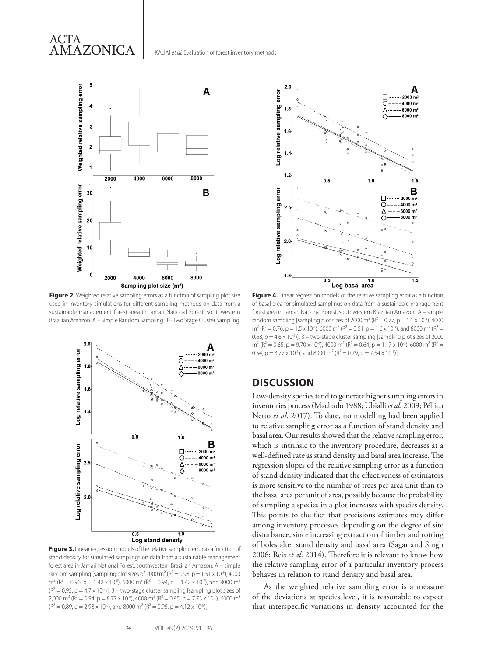



**Figure 2.** Weighted relative sampling errors as a function of sampling plot size used in inventory simulations for different sampling methods on data from a sustainable management forest area in Jamari National Forest, southwestern Brazilian Amazon. A – Simple Random Sampling. B – Two Stage Cluster Sampling.



**Figure 3.** Linear regression models of the relative sampling error as a function of stand density for simulated samplings on data from a sustainable management forest area in Jamari National Forest, southwestern Brazilian Amazon. A – simple random sampling [sampling plot sizes of 2000 m<sup>2</sup> ( $R^2$  = 0.98, p = 1.51 x 10<sup>-9</sup>), 4000  $m^{2}$  (R<sup>2</sup> = 0.96, p = 1.42 x 10<sup>-8</sup>), 6000 m<sup>2</sup> (R<sup>2</sup> = 0.94, p = 1.42 x 10<sup>-7</sup>), and 8000 m<sup>2</sup>  $(R<sup>2</sup> = 0.95, p = 4.7 \times 10<sup>-3</sup>)$ ]. B – two-stage cluster sampling [sampling plot sizes of 2,000 m<sup>2</sup> (R<sup>2</sup> = 0.94, p = 8.77 x 10<sup>-8</sup>), 4000 m<sup>2</sup> (R<sup>2</sup> = 0.95, p = 7.73 x 10<sup>-8</sup>), 6000 m<sup>2</sup>  $(R^{2} = 0.89, p = 2.98 \times 10^{-6})$ , and 8000 m<sup>2</sup> ( $R^{2} = 0.95, p = 4.12 \times 10^{-8}$ )].



**Figure 4.** Linear regression models of the relative sampling error as a function of basal area for simulated samplings on data from a sustainable management forest area in Jamari National Forest, southwestern Brazilian Amazon. A – simple random sampling [sampling plot sizes of 2000 m<sup>2</sup> ( $R^2 = 0.77$ , p = 1.1 x 10<sup>-4</sup>), 4000  $m^2$  (R<sup>2</sup> = 0.76, p = 1.5 x 10<sup>-4</sup>), 6000 m<sup>2</sup> (R<sup>2</sup> = 0.61, p = 1.6 x 10<sup>-3</sup>), and 8000 m<sup>2</sup> (R<sup>2</sup> = 0.68,  $p = 4.6 \times 10^{-3}$ ]. B – two-stage cluster sampling [sampling plot sizes of 2000  $m^2$  (R<sup>2</sup> = 0.65, p = 9.70 x 10<sup>-4</sup>), 4000 m<sup>2</sup> (R<sup>2</sup> = 0.64, p = 1.17 x 10<sup>-3</sup>), 6000 m<sup>2</sup> (R<sup>2</sup> = 0.54,  $p = 3.77 \times 10^{-3}$ ), and 8000 m<sup>2</sup> (R<sup>2</sup> = 0.79,  $p = 7.54 \times 10^{-5}$ )].

## **DISCUSSION**

Low-density species tend to generate higher sampling errors in inventories process (Machado 1988; Ubialli *et al*. 2009; Péllico Netto *et al*. 2017). To date, no modelling had been applied to relative sampling error as a function of stand density and basal area. Our results showed that the relative sampling error, which is intrinsic to the inventory procedure, decreases at a well-defined rate as stand density and basal area increase. The regression slopes of the relative sampling error as a function of stand density indicated that the effectiveness of estimators is more sensitive to the number of trees per area unit than to the basal area per unit of area, possibly because the probability of sampling a species in a plot increases with species density. This points to the fact that precisions estimates may differ among inventory processes depending on the degree of site disturbance, since increasing extraction of timber and rotting of boles alter stand density and basal area (Sagar and Singh 2006; Reis *et al*. 2014). Therefore it is relevant to know how the relative sampling error of a particular inventory process behaves in relation to stand density and basal area.

As the weighted relative sampling error is a measure of the deviations at species level, it is reasonable to expect that interspecific variations in density accounted for the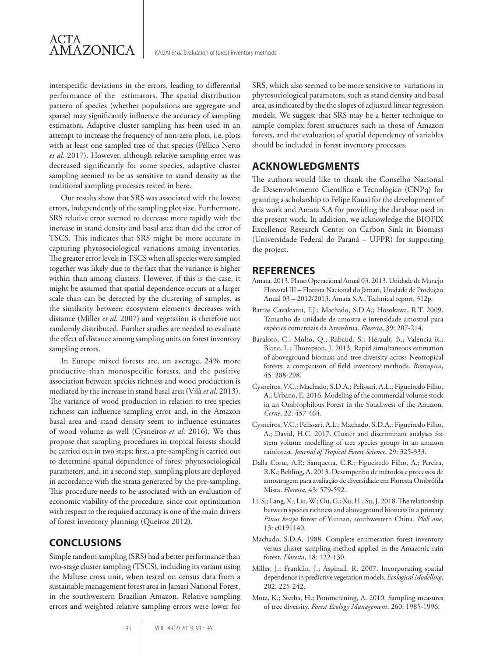

interspecific deviations in the errors, leading to differential performance of the estimators. The spatial distribution pattern of species (whether populations are aggregate and sparse) may significantly influence the accuracy of sampling estimators. Adaptive cluster sampling has been used in an attempt to increase the frequency of non-zero plots, i.e. plots with at least one sampled tree of that species (Péllico Netto *et al*. 2017). However, although relative sampling error was decreased significantly for some species, adaptive cluster sampling seemed to be as sensitive to stand density as the traditional sampling processes tested in here.

Our results show that SRS was associated with the lowest errors, independently of the sampling plot size. Furthermore, SRS relative error seemed to decrease more rapidly with the increase in stand density and basal area than did the error of TSCS. This indicates that SRS might be more accurate in capturing phytosociological variations among inventories. The greater error levels in TSCS when all species were sampled together was likely due to the fact that the variance is higher within than among clusters. However, if this is the case, it might be assumed that spatial dependence occurs at a larger scale than can be detected by the clustering of samples, as the similarity between ecosystem elements decreases with distance (Miller *et al*. 2007) and vegetation is therefore not randomly distributed. Further studies are needed to evaluate the effect of distance among sampling units on forest inventory sampling errors.

In Europe mixed forests are, on average, 24% more productive than monospecific forests, and the positive association between species richness and wood production is mediated by the increase in stand basal area (Vilà *et al*. 2013). The variance of wood production in relation to tree species richness can influence sampling error and, in the Amazon basal area and stand density seem to influence estimates of wood volume as well (Cysneiros *et al*. 2016). We thus propose that sampling procedures in tropical forests should be carried out in two steps: first, a pre-sampling is carried out to determine spatial dependence of forest phytosociological parameters, and, in a second step, sampling plots are deployed in accordance with the strata generated by the pre-sampling. This procedure needs to be associated with an evaluation of economic viability of the procedure, since cost optimization with respect to the required accuracy is one of the main drivers of forest inventory planning (Queiroz 2012).

## **CONCLUSIONS**

Simple random sampling (SRS) had a better performance than two-stage cluster sampling (TSCS), including its variant using the Maltese cross unit, when tested on census data from a sustainable management forest area in Jamari National Forest, in the southwestern Brazilian Amazon. Relative sampling errors and weighted relative sampling errors were lower for SRS, which also seemed to be more sensitive to variations in phytosociological parameters, such as stand density and basal area, as indicated by the the slopes of adjusted linear regression models. We suggest that SRS may be a better technique to sample complex forest structures such as those of Amazon forests, and the evaluation of spatial dependency of variables should be included in forest inventory processes.

## **ACKNOWLEDGMENTS**

The authors would like to thank the Conselho Nacional de Desenvolvimento Científico e Tecnológico (CNPq) for granting a scholarship to Felipe Kauai for the development of this work and Amata S.A for providing the database used in the present work. In addition, we acknowledge the BIOFIX Excellence Research Center on Carbon Sink in Biomass (Universidade Federal do Paraná − UFPR) for supporting the project.

#### **REFERENCES**

- Amata. 2013. Plano Operacional Anual 03. 2013. Unidade de Manejo Florestal III – Floresta Nacional do Jamari, Unidade de Produção Anual 03 – 2012/2013. Amata S.A., Technical report, 312p.
- Barros Cavalcanti, F.J.; Machado, S.D.A.; Hosokawa, R.T. 2009. Tamanho de unidade de amostra e intensidade amostral para espécies comerciais da Amazônia. *Floresta*, 39: 207-214.
- Baraloto, C.; Molto, Q.; Rabaud, S.; Hérault, B.; Valencia R.; Blanc, L.; Thompson, J. 2013. Rapid simultaneous estimation of aboveground biomass and tree diversity across Neotropical forests: a comparison of field inventory methods. *Biotropica*, 45: 288-298.
- Cysneiros, V.C.; Machado, S.D.A.; Pelissari, A.L.; Figueiredo Filho, A.; Urbano, E. 2016. Modeling of the commercial volume stock in an Ombrophilous Forest in the Southwest of the Amazon. *Cerne*, 22: 457-464.
- Cysneiros, V.C.; Pelissari, A.L.; Machado, S.D.A.; Figueiredo Filho, A.; David, H.C. 2017. Cluster and discriminant analyses for stem volume modelling of tree species groups in an amazon rainforest. *Journal of Tropical Forest Science*, 29: 325-333.
- Dalla Corte, A.P.; Sanquetta, C.R.; Figueiredo Filho, A.; Pereira, R.K.; Behling, A. 2013. Desempenho de métodos e processos de amostragem para avaliação de diversidade em Floresta Ombrófila Mista. *Floresta*, 43: 579-592.
- Li, S.; Lang, X.; Liu, W.; Ou, G.; Xu, H.; Su, J. 2018. The relationship between species richness and aboveground biomass in a primary *Pinus kesiya* forest of Yunnan, southwestern China. *PloS one*, 13: e0191140.
- Machado, S.D.A. 1988. Complete enumeration forest inventory versus cluster sampling method applied in the Amazonic rain forest. *Floresta*, 18: 122-130.
- Miller, J.; Franklin, J.; Aspinall, R. 2007. Incorporating spatial dependence in predictive vegetation models. *Ecological Modelling*, 202: 225-242.
- Motz, K.; Sterba, H.; Pommerening, A. 2010. Sampling measures of tree diversity. *Forest Ecology Management*. 260: 1985-1996.